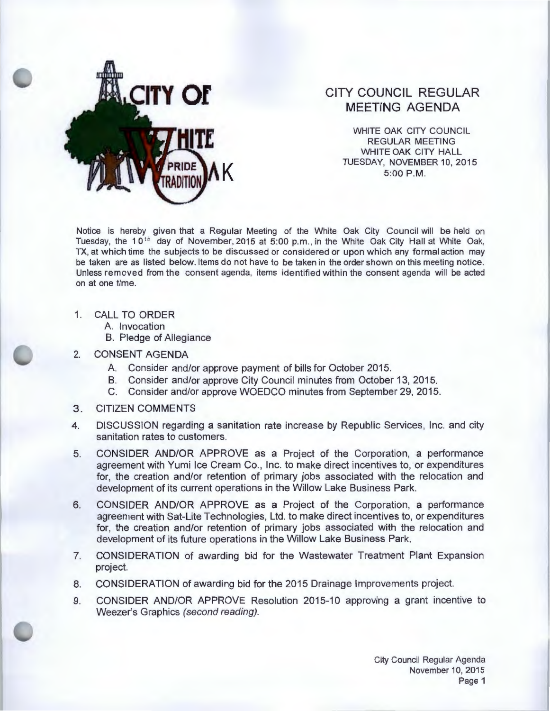

## **CITY COUNCIL REGULAR MEETING AGENDA**

WHITE OAK CITY COUNCIL REGULAR MEETING WHITE OAK CITY HALL **TUESDAY, NOVEMBER 10, 2015** 5:00 P.M.

Notice is hereby given that a Regular Meeting of the White Oak City Council will be held on Tuesday, the 10<sup>th</sup> day of November, 2015 at 5:00 p.m., in the White Oak City Hall at White Oak, TX, at which time the subjects to be discussed or considered or upon which any formal action may be taken are as listed below. Items do not have to be taken in the order shown on this meeting notice. Unless removed from the consent agenda, items identified within the consent agenda will be acted on at one time.

- 1. CALL TO ORDER
	- A. Invocation
	- B. Pledge of Allegiance
- 2. CONSENT AGENDA
	- A. Consider and/or approve payment of bills for October 2015.
	- B. Consider and/or approve City Council minutes from October 13, 2015.
	- C. Consider and/or approve WOEDCO minutes from September 29, 2015.
- 3. CITIZEN COMMENTS
- 4. DISCUSSION regarding a sanitation rate increase by Republic Services, Inc. and city sanitation rates to customers.
- 5. CONSIDER AND/OR APPROVE as a Project of the Corporation, a performance agreement with Yumi Ice Cream Co. , Inc. to make direct incentives to, or expenditures for, the creation and/or retention of primary jobs associated with the relocation and development of its current operations in the Willow Lake Business Park.
- 6. CONSIDER AND/OR APPROVE as a Project of the Corporation, a performance agreement with Sat-Lite Technologies, Ltd. to make direct incentives to, or expenditures for, the creation and/or retention of primary jobs associated with the relocation and development of its future operations in the Willow Lake Business Park.
- 7. CONSIDERATION of awarding bid for the Wastewater Treatment Plant Expansion project.
- 8. CONSIDERATION of awarding bid for the 2015 Drainage Improvements project.
- 9. CONSIDER AND/OR APPROVE Resolution 2015-10 approving a grant incentive to Weezer's Graphics (second reading).